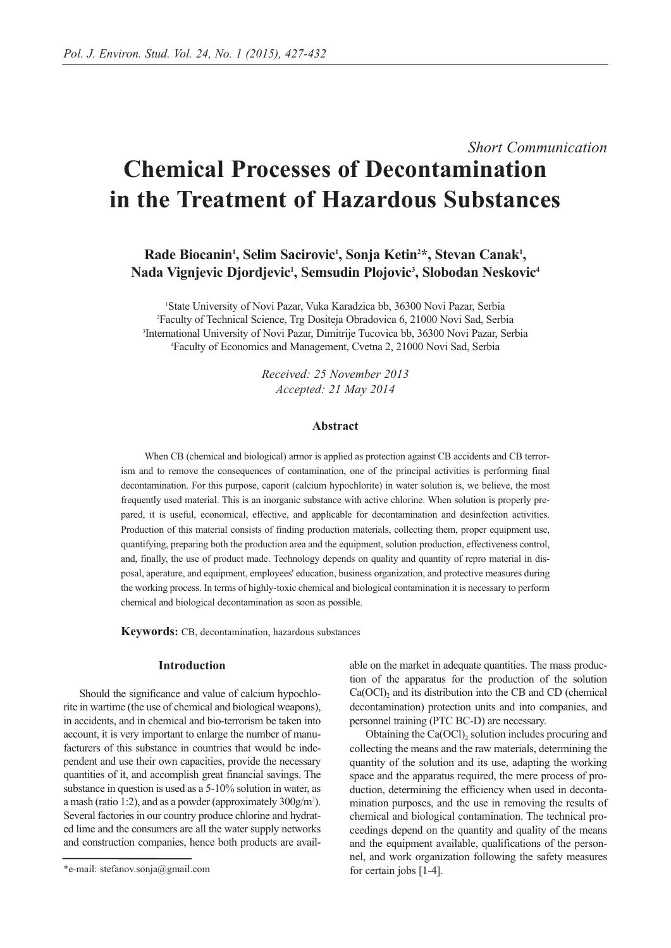# *Short Communication* **Chemical Processes of Decontamination in the Treatment of Hazardous Substances**

Rade Biocanin<sup>1</sup>, Selim Sacirovic<sup>1</sup>, Sonja Ketin<sup>2</sup>\*, Stevan Canak<sup>1</sup>, **Nada Vignjevic Djordjevic1 , Semsudin Plojovic3 , Slobodan Neskovic4**

 State University of Novi Pazar, Vuka Karadzica bb, 36300 Novi Pazar, Serbia Faculty of Technical Science, Trg Dositeja Obradovica 6, 21000 Novi Sad, Serbia International University of Novi Pazar, Dimitrije Tucovica bb, 36300 Novi Pazar, Serbia Faculty of Economics and Management, Cvetna 2, 21000 Novi Sad, Serbia

> *Received: 25 November 2013 Accepted: 21 May 2014*

## **Abstract**

When CB (chemical and biological) armor is applied as protection against CB accidents and CB terrorism and to remove the consequences of contamination, one of the principal activities is performing final decontamination. For this purpose, caporit (calcium hypochlorite) in water solution is, we believe, the most frequently used material. This is an inorganic substance with active chlorine. When solution is properly prepared, it is useful, economical, effective, and applicable for decontamination and desinfection activities. Production of this material consists of finding production materials, collecting them, proper equipment use, quantifying, preparing both the production area and the equipment, solution production, effectiveness control, and, finally, the use of product made. Technology depends on quality and quantity of repro material in disposal, aperature, and equipment, employees' education, business organization, and protective measures during the working process. In terms of highly-toxic chemical and biological contamination it is necessary to perform chemical and biological decontamination as soon as possible.

**Keywords:** CB, decontamination, hazardous substances

## **Introduction**

Should the significance and value of calcium hypochlorite in wartime (the use of chemical and biological weapons), in accidents, and in chemical and bio-terrorism be taken into account, it is very important to enlarge the number of manufacturers of this substance in countries that would be independent and use their own capacities, provide the necessary quantities of it, and accomplish great financial savings. The substance in question is used as a 5-10% solution in water, as a mash (ratio 1:2), and as a powder (approximately 300g/m<sup>2</sup>). Several factories in our country produce chlorine and hydrated lime and the consumers are all the water supply networks and construction companies, hence both products are available on the market in adequate quantities. The mass production of the apparatus for the production of the solution  $Ca(OCl)<sub>2</sub>$  and its distribution into the CB and CD (chemical decontamination) protection units and into companies, and personnel training (PTC BC-D) are necessary.

Obtaining the Ca(OCl), solution includes procuring and collecting the means and the raw materials, determining the quantity of the solution and its use, adapting the working space and the apparatus required, the mere process of production, determining the efficiency when used in decontamination purposes, and the use in removing the results of chemical and biological contamination. The technical proceedings depend on the quantity and quality of the means and the equipment available, qualifications of the personnel, and work organization following the safety measures for certain jobs [1-4].

<sup>\*</sup>e-mail: stefanov.sonja@gmail.com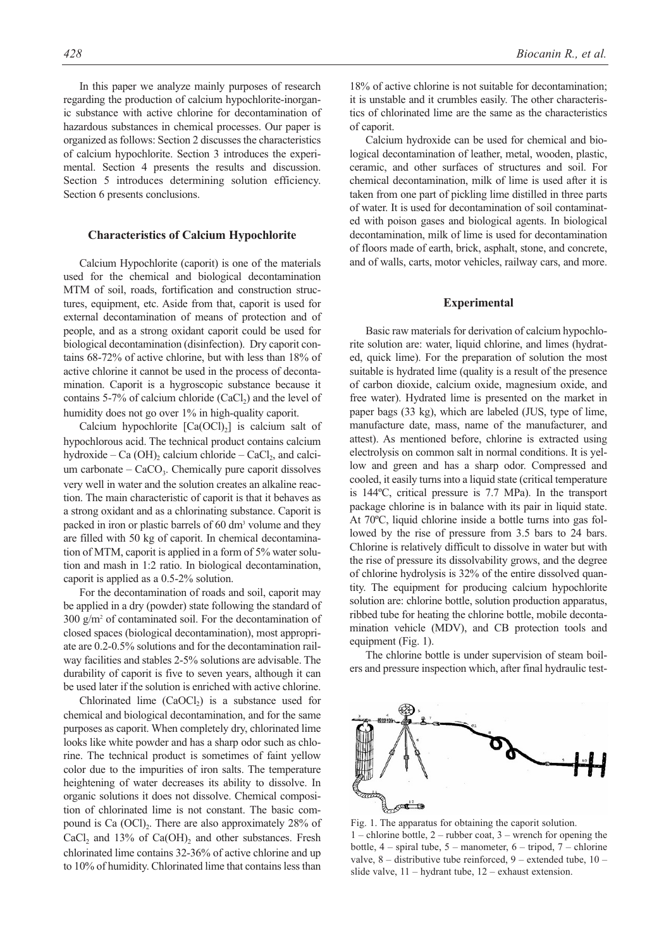In this paper we analyze mainly purposes of research regarding the production of calcium hypochlorite-inorganic substance with active chlorine for decontamination of hazardous substances in chemical processes. Our paper is organized as follows: Section 2 discusses the characteristics of calcium hypochlorite. Section 3 introduces the experimental. Section 4 presents the results and discussion. Section 5 introduces determining solution efficiency. Section 6 presents conclusions.

#### **Characteristics of Calcium Hypochlorite**

Calcium Hypochlorite (caporit) is one of the materials used for the chemical and biological decontamination MTM of soil, roads, fortification and construction structures, equipment, etc. Aside from that, caporit is used for external decontamination of means of protection and of people, and as a strong oxidant caporit could be used for biological decontamination (disinfection). Dry caporit contains 68-72% of active chlorine, but with less than 18% of active chlorine it cannot be used in the process of decontamination. Caporit is a hygroscopic substance because it contains 5-7% of calcium chloride  $(CaCl<sub>2</sub>)$  and the level of humidity does not go over 1% in high-quality caporit.

Calcium hypochlorite  $[Ca(OCl)_2]$  is calcium salt of hypochlorous acid. The technical product contains calcium hydroxide – Ca  $(OH)$ <sub>2</sub> calcium chloride – CaCl<sub>2</sub>, and calcium carbonate –  $CaCO<sub>3</sub>$ . Chemically pure caporit dissolves very well in water and the solution creates an alkaline reaction. The main characteristic of caporit is that it behaves as a strong oxidant and as a chlorinating substance. Caporit is packed in iron or plastic barrels of 60 dm<sup>3</sup> volume and they are filled with 50 kg of caporit. In chemical decontamination of MTM, caporit is applied in a form of 5% water solution and mash in 1:2 ratio. In biological decontamination, caporit is applied as a 0.5-2% solution.

For the decontamination of roads and soil, caporit may be applied in a dry (powder) state following the standard of 300 g/m2 of contaminated soil. For the decontamination of closed spaces (biological decontamination), most appropriate are 0.2-0.5% solutions and for the decontamination railway facilities and stables 2-5% solutions are advisable. The durability of caporit is five to seven years, although it can be used later if the solution is enriched with active chlorine.

Chlorinated lime  $(CaOCl<sub>2</sub>)$  is a substance used for chemical and biological decontamination, and for the same purposes as caporit. When completely dry, chlorinated lime looks like white powder and has a sharp odor such as chlorine. The technical product is sometimes of faint yellow color due to the impurities of iron salts. The temperature heightening of water decreases its ability to dissolve. In organic solutions it does not dissolve. Chemical composition of chlorinated lime is not constant. The basic compound is Ca  $(OCl)$ . There are also approximately 28% of  $CaCl<sub>2</sub>$  and 13% of  $Ca(OH)<sub>2</sub>$  and other substances. Fresh chlorinated lime contains 32-36% of active chlorine and up to 10% of humidity. Chlorinated lime that contains less than

18% of active chlorine is not suitable for decontamination; it is unstable and it crumbles easily. The other characteristics of chlorinated lime are the same as the characteristics of caporit.

Calcium hydroxide can be used for chemical and biological decontamination of leather, metal, wooden, plastic, ceramic, and other surfaces of structures and soil. For chemical decontamination, milk of lime is used after it is taken from one part of pickling lime distilled in three parts of water. It is used for decontamination of soil contaminated with poison gases and biological agents. In biological decontamination, milk of lime is used for decontamination of floors made of earth, brick, asphalt, stone, and concrete, and of walls, carts, motor vehicles, railway cars, and more.

#### **Experimental**

Basic raw materials for derivation of calcium hypochlorite solution are: water, liquid chlorine, and limes (hydrated, quick lime). For the preparation of solution the most suitable is hydrated lime (quality is a result of the presence of carbon dioxide, calcium oxide, magnesium oxide, and free water). Hydrated lime is presented on the market in paper bags (33 kg), which are labeled (JUS, type of lime, manufacture date, mass, name of the manufacturer, and attest). As mentioned before, chlorine is extracted using electrolysis on common salt in normal conditions. It is yellow and green and has a sharp odor. Compressed and cooled, it easily turns into a liquid state (critical temperature is 144ºC, critical pressure is 7.7 MPa). In the transport package chlorine is in balance with its pair in liquid state. At 70ºC, liquid chlorine inside a bottle turns into gas followed by the rise of pressure from 3.5 bars to 24 bars. Chlorine is relatively difficult to dissolve in water but with the rise of pressure its dissolvability grows, and the degree of chlorine hydrolysis is 32% of the entire dissolved quantity. The equipment for producing calcium hypochlorite solution are: chlorine bottle, solution production apparatus, ribbed tube for heating the chlorine bottle, mobile decontamination vehicle (MDV), and CB protection tools and equipment (Fig. 1).

The chlorine bottle is under supervision of steam boilers and pressure inspection which, after final hydraulic test-



Fig. 1. The apparatus for obtaining the caporit solution.  $1$  – chlorine bottle,  $2$  – rubber coat,  $3$  – wrench for opening the bottle,  $4$  – spiral tube,  $5$  – manometer,  $6$  – tripod,  $7$  – chlorine valve,  $8$  – distributive tube reinforced,  $9$  – extended tube,  $10$  – slide valve,  $11 - hydr$ ant tube,  $12 - e$ xhaust extension.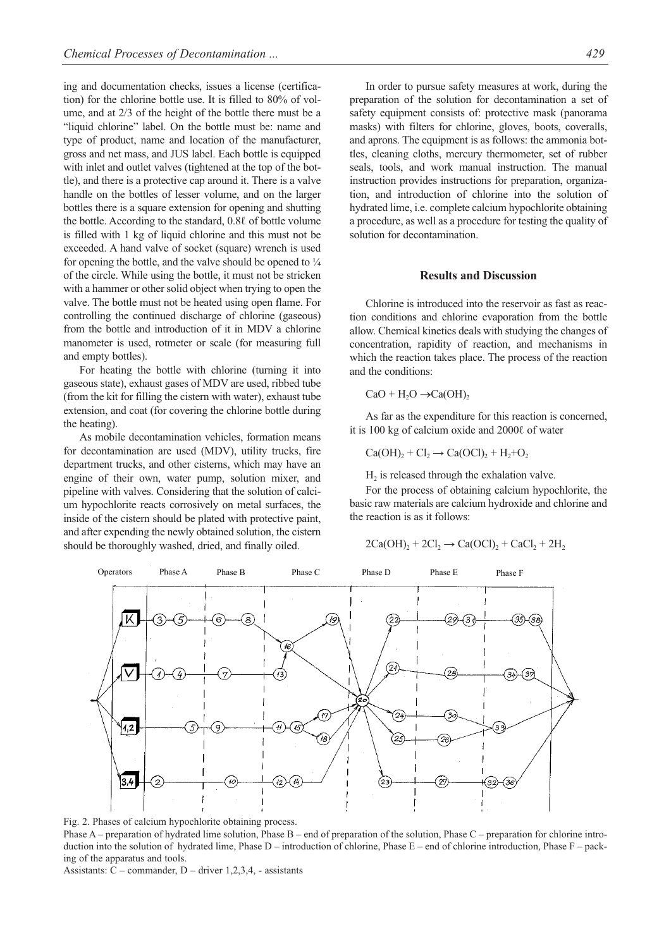ing and documentation checks, issues a license (certification) for the chlorine bottle use. It is filled to 80% of volume, and at 2/3 of the height of the bottle there must be a "liquid chlorine" label. On the bottle must be: name and type of product, name and location of the manufacturer, gross and net mass, and JUS label. Each bottle is equipped with inlet and outlet valves (tightened at the top of the bottle), and there is a protective cap around it. There is a valve handle on the bottles of lesser volume, and on the larger bottles there is a square extension for opening and shutting the bottle. According to the standard, 0.8ℓ of bottle volume is filled with 1 kg of liquid chlorine and this must not be exceeded. A hand valve of socket (square) wrench is used for opening the bottle, and the valve should be opened to  $\frac{1}{4}$ of the circle. While using the bottle, it must not be stricken with a hammer or other solid object when trying to open the valve. The bottle must not be heated using open flame. For controlling the continued discharge of chlorine (gaseous) from the bottle and introduction of it in MDV a chlorine manometer is used, rotmeter or scale (for measuring full and empty bottles).

For heating the bottle with chlorine (turning it into gaseous state), exhaust gases of MDV are used, ribbed tube (from the kit for filling the cistern with water), exhaust tube extension, and coat (for covering the chlorine bottle during the heating).

As mobile decontamination vehicles, formation means for decontamination are used (MDV), utility trucks, fire department trucks, and other cisterns, which may have an engine of their own, water pump, solution mixer, and pipeline with valves. Considering that the solution of calcium hypochlorite reacts corrosively on metal surfaces, the inside of the cistern should be plated with protective paint, and after expending the newly obtained solution, the cistern should be thoroughly washed, dried, and finally oiled.

In order to pursue safety measures at work, during the preparation of the solution for decontamination a set of safety equipment consists of: protective mask (panorama masks) with filters for chlorine, gloves, boots, coveralls, and aprons. The equipment is as follows: the ammonia bottles, cleaning cloths, mercury thermometer, set of rubber seals, tools, and work manual instruction. The manual instruction provides instructions for preparation, organization, and introduction of chlorine into the solution of hydrated lime, i.e. complete calcium hypochlorite obtaining a procedure, as well as a procedure for testing the quality of solution for decontamination.

### **Results and Discussion**

Chlorine is introduced into the reservoir as fast as reaction conditions and chlorine evaporation from the bottle allow. Chemical kinetics deals with studying the changes of concentration, rapidity of reaction, and mechanisms in which the reaction takes place. The process of the reaction and the conditions:

$$
CaO + H_2O \rightarrow Ca(OH)_2
$$

As far as the expenditure for this reaction is concerned, it is 100 kg of calcium oxide and 2000ℓ of water

 $Ca(OH)<sub>2</sub> + Cl<sub>2</sub> \rightarrow Ca(OCl)<sub>2</sub> + H<sub>2</sub>+O<sub>2</sub>$ 

 $H<sub>2</sub>$  is released through the exhalation valve.

For the process of obtaining calcium hypochlorite, the basic raw materials are calcium hydroxide and chlorine and the reaction is as it follows:

$$
2Ca(OH)_2 + 2Cl_2 \rightarrow Ca(OCl)_2 + CaCl_2 + 2H_2
$$



Fig. 2. Phases of calcium hypochlorite obtaining process.

Phase  $A$  – preparation of hydrated lime solution, Phase  $B$  – end of preparation of the solution, Phase  $C$  – preparation for chlorine introduction into the solution of hydrated lime, Phase  $D$  – introduction of chlorine, Phase  $E$  – end of chlorine introduction, Phase  $F$  – packing of the apparatus and tools.

Assistants: C – commander, D – driver 1,2,3,4, - assistants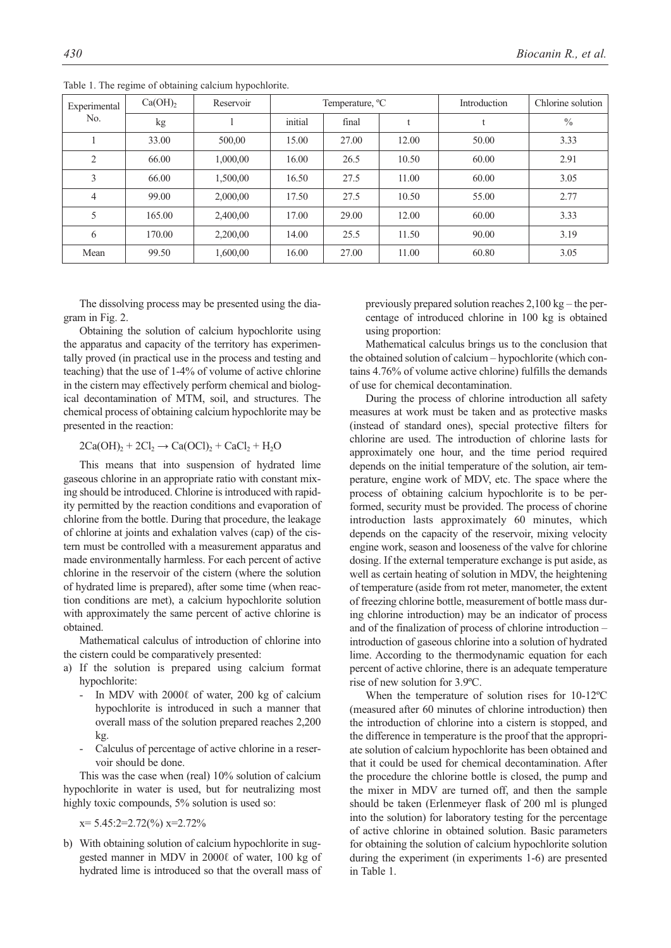| Experimental<br>No. | Ca(OH) <sub>2</sub> | Reservoir | Temperature, <sup>o</sup> C |       |       | Introduction | Chlorine solution |  |
|---------------------|---------------------|-----------|-----------------------------|-------|-------|--------------|-------------------|--|
|                     | kg                  |           | initial                     | final |       |              | $\frac{0}{0}$     |  |
|                     | 33.00               | 500,00    | 15.00                       | 27.00 | 12.00 | 50.00        | 3.33              |  |
| $\overline{2}$      | 66.00               | 1,000,00  | 16.00                       | 26.5  | 10.50 | 60.00        | 2.91              |  |
| 3                   | 66.00               | 1,500,00  | 16.50                       | 27.5  | 11.00 | 60.00        | 3.05              |  |
| $\overline{4}$      | 99.00               | 2,000,00  | 17.50                       | 27.5  | 10.50 | 55.00        | 2.77              |  |
| 5                   | 165.00              | 2,400,00  | 17.00                       | 29.00 | 12.00 | 60.00        | 3.33              |  |
| 6                   | 170.00              | 2,200,00  | 14.00                       | 25.5  | 11.50 | 90.00        | 3.19              |  |
| Mean                | 99.50               | 1,600,00  | 16.00                       | 27.00 | 11.00 | 60.80        | 3.05              |  |

Table 1. The regime of obtaining calcium hypochlorite.

The dissolving process may be presented using the diagram in Fig. 2.

Obtaining the solution of calcium hypochlorite using the apparatus and capacity of the territory has experimentally proved (in practical use in the process and testing and teaching) that the use of 1-4% of volume of active chlorine in the cistern may effectively perform chemical and biological decontamination of MTM, soil, and structures. The chemical process of obtaining calcium hypochlorite may be presented in the reaction:

## $2Ca(OH)<sub>2</sub> + 2Cl<sub>2</sub> \rightarrow Ca(OCl)<sub>2</sub> + CaCl<sub>2</sub> + H<sub>2</sub>O$

This means that into suspension of hydrated lime gaseous chlorine in an appropriate ratio with constant mixing should be introduced. Chlorine is introduced with rapidity permitted by the reaction conditions and evaporation of chlorine from the bottle. During that procedure, the leakage of chlorine at joints and exhalation valves (cap) of the cistern must be controlled with a measurement apparatus and made environmentally harmless. For each percent of active chlorine in the reservoir of the cistern (where the solution of hydrated lime is prepared), after some time (when reaction conditions are met), a calcium hypochlorite solution with approximately the same percent of active chlorine is obtained.

Mathematical calculus of introduction of chlorine into the cistern could be comparatively presented:

- a) If the solution is prepared using calcium format hypochlorite:
	- In MDV with 2000ℓ of water, 200 kg of calcium hypochlorite is introduced in such a manner that overall mass of the solution prepared reaches 2,200 kg.
	- Calculus of percentage of active chlorine in a reservoir should be done.

This was the case when (real) 10% solution of calcium hypochlorite in water is used, but for neutralizing most highly toxic compounds, 5% solution is used so:

x= 5.45:2=2.72(%) x=2.72%

b) With obtaining solution of calcium hypochlorite in suggested manner in MDV in 2000ℓ of water, 100 kg of hydrated lime is introduced so that the overall mass of previously prepared solution reaches 2,100 kg – the percentage of introduced chlorine in 100 kg is obtained using proportion:

Mathematical calculus brings us to the conclusion that the obtained solution of calcium – hypochlorite (which contains 4.76% of volume active chlorine) fulfills the demands of use for chemical decontamination.

During the process of chlorine introduction all safety measures at work must be taken and as protective masks (instead of standard ones), special protective filters for chlorine are used. The introduction of chlorine lasts for approximately one hour, and the time period required depends on the initial temperature of the solution, air temperature, engine work of MDV, etc. The space where the process of obtaining calcium hypochlorite is to be performed, security must be provided. The process of chorine introduction lasts approximately 60 minutes, which depends on the capacity of the reservoir, mixing velocity engine work, season and looseness of the valve for chlorine dosing. If the external temperature exchange is put aside, as well as certain heating of solution in MDV, the heightening of temperature (aside from rot meter, manometer, the extent of freezing chlorine bottle, measurement of bottle mass during chlorine introduction) may be an indicator of process and of the finalization of process of chlorine introduction – introduction of gaseous chlorine into a solution of hydrated lime. According to the thermodynamic equation for each percent of active chlorine, there is an adequate temperature rise of new solution for 3.9ºC.

When the temperature of solution rises for 10-12ºC (measured after 60 minutes of chlorine introduction) then the introduction of chlorine into a cistern is stopped, and the difference in temperature is the proof that the appropriate solution of calcium hypochlorite has been obtained and that it could be used for chemical decontamination. After the procedure the chlorine bottle is closed, the pump and the mixer in MDV are turned off, and then the sample should be taken (Erlenmeyer flask of 200 ml is plunged into the solution) for laboratory testing for the percentage of active chlorine in obtained solution. Basic parameters for obtaining the solution of calcium hypochlorite solution during the experiment (in experiments 1-6) are presented in Table 1.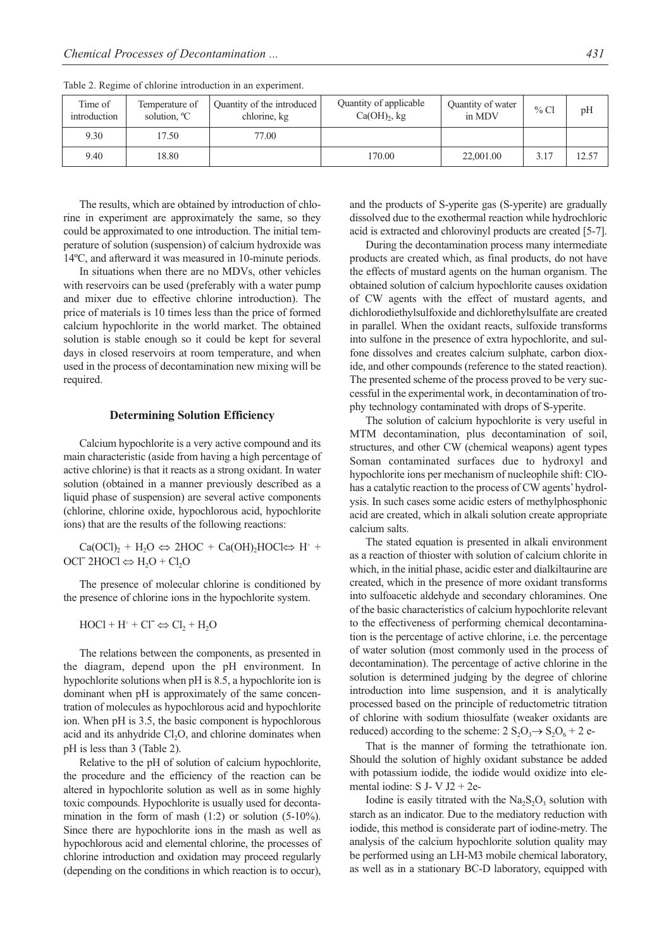| Time of<br>introduction | Temperature of<br>solution, <sup>o</sup> C | Quantity of the introduced<br>chlorine, kg | Quantity of applicable<br>$Ca(OH)_{2}$ , kg | Quantity of water<br>in MDV | %CI  | pH    |
|-------------------------|--------------------------------------------|--------------------------------------------|---------------------------------------------|-----------------------------|------|-------|
| 9.30                    | 17.50                                      | 77.00                                      |                                             |                             |      |       |
| 9.40                    | 18.80                                      |                                            | 170.00                                      | 22,001.00                   | 3.17 | 12.57 |

Table 2. Regime of chlorine introduction in an experiment.

The results, which are obtained by introduction of chlorine in experiment are approximately the same, so they could be approximated to one introduction. The initial temperature of solution (suspension) of calcium hydroxide was 14ºC, and afterward it was measured in 10-minute periods.

In situations when there are no MDVs, other vehicles with reservoirs can be used (preferably with a water pump and mixer due to effective chlorine introduction). The price of materials is 10 times less than the price of formed calcium hypochlorite in the world market. The obtained solution is stable enough so it could be kept for several days in closed reservoirs at room temperature, and when used in the process of decontamination new mixing will be required.

#### **Determining Solution Efficiency**

Calcium hypochlorite is a very active compound and its main characteristic (aside from having a high percentage of active chlorine) is that it reacts as a strong oxidant. In water solution (obtained in a manner previously described as a liquid phase of suspension) are several active components (chlorine, chlorine oxide, hypochlorous acid, hypochlorite ions) that are the results of the following reactions:

 $Ca(OCl)_2 + H_2O \Leftrightarrow 2HOC + Ca(OH)_2HOCl \Leftrightarrow H^+ +$ OCl<sup> $-$ </sup> 2HOCl  $\Leftrightarrow$  H<sub>2</sub>O + Cl<sub>2</sub>O

The presence of molecular chlorine is conditioned by the presence of chlorine ions in the hypochlorite system.

 $HOCl + H^+ + Cl^- \Leftrightarrow Cl_2 + H_2O$ 

The relations between the components, as presented in the diagram, depend upon the pH environment. In hypochlorite solutions when pH is 8.5, a hypochlorite ion is dominant when pH is approximately of the same concentration of molecules as hypochlorous acid and hypochlorite ion. When pH is 3.5, the basic component is hypochlorous acid and its anhydride Cl<sub>2</sub>O, and chlorine dominates when pH is less than 3 (Table 2).

Relative to the pH of solution of calcium hypochlorite, the procedure and the efficiency of the reaction can be altered in hypochlorite solution as well as in some highly toxic compounds. Hypochlorite is usually used for decontamination in the form of mash (1:2) or solution (5-10%). Since there are hypochlorite ions in the mash as well as hypochlorous acid and elemental chlorine, the processes of chlorine introduction and oxidation may proceed regularly (depending on the conditions in which reaction is to occur), and the products of S-yperite gas (S-yperite) are gradually dissolved due to the exothermal reaction while hydrochloric acid is extracted and chlorovinyl products are created [5-7].

During the decontamination process many intermediate products are created which, as final products, do not have the effects of mustard agents on the human organism. The obtained solution of calcium hypochlorite causes oxidation of CW agents with the effect of mustard agents, and dichlorodiethylsulfoxide and dichlorethylsulfate are created in parallel. When the oxidant reacts, sulfoxide transforms into sulfone in the presence of extra hypochlorite, and sulfone dissolves and creates calcium sulphate, carbon dioxide, and other compounds (reference to the stated reaction). The presented scheme of the process proved to be very successful in the experimental work, in decontamination of trophy technology contaminated with drops of S-yperite.

The solution of calcium hypochlorite is very useful in MTM decontamination, plus decontamination of soil, structures, and other CW (chemical weapons) agent types Soman contaminated surfaces due to hydroxyl and hypochlorite ions per mechanism of nucleophile shift: ClOhas a catalytic reaction to the process of CW agents' hydrolysis. In such cases some acidic esters of methylphosphonic acid are created, which in alkali solution create appropriate calcium salts.

The stated equation is presented in alkali environment as a reaction of thioster with solution of calcium chlorite in which, in the initial phase, acidic ester and dialkiltaurine are created, which in the presence of more oxidant transforms into sulfoacetic aldehyde and secondary chloramines. One of the basic characteristics of calcium hypochlorite relevant to the effectiveness of performing chemical decontamination is the percentage of active chlorine, i.e. the percentage of water solution (most commonly used in the process of decontamination). The percentage of active chlorine in the solution is determined judging by the degree of chlorine introduction into lime suspension, and it is analytically processed based on the principle of reductometric titration of chlorine with sodium thiosulfate (weaker oxidants are reduced) according to the scheme:  $2 S_2O_3 \rightarrow S_2O_6 + 2 e$ -

That is the manner of forming the tetrathionate ion. Should the solution of highly oxidant substance be added with potassium iodide, the iodide would oxidize into elemental iodine: S J- V J2 + 2e-

Iodine is easily titrated with the  $Na<sub>2</sub>S<sub>2</sub>O<sub>3</sub>$  solution with starch as an indicator. Due to the mediatory reduction with iodide, this method is considerate part of iodine-metry. The analysis of the calcium hypochlorite solution quality may be performed using an LH-M3 mobile chemical laboratory, as well as in a stationary BC-D laboratory, equipped with